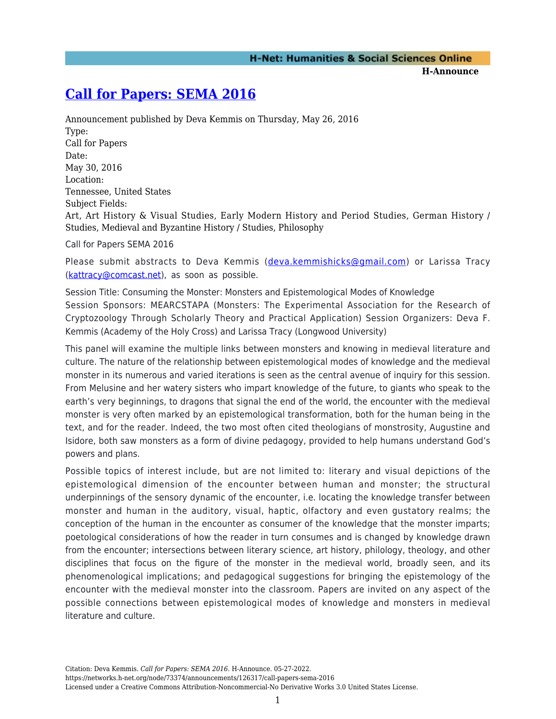**H-Announce** 

## **[Call for Papers: SEMA 2016](https://networks.h-net.org/node/73374/announcements/126317/call-papers-sema-2016)**

Announcement published by Deva Kemmis on Thursday, May 26, 2016 Type: Call for Papers Date: May 30, 2016 Location: Tennessee, United States Subject Fields:

Art, Art History & Visual Studies, Early Modern History and Period Studies, German History / Studies, Medieval and Byzantine History / Studies, Philosophy

Call for Papers SEMA 2016

Please submit abstracts to Deva Kemmis ([deva.kemmishicks@gmail.com](mailto:deva.kemmishicks@gmail.com)) or Larissa Tracy ([kattracy@comcast.net](mailto:kattracy@comcast.net)), as soon as possible.

Session Title: Consuming the Monster: Monsters and Epistemological Modes of Knowledge Session Sponsors: MEARCSTAPA (Monsters: The Experimental Association for the Research of Cryptozoology Through Scholarly Theory and Practical Application) Session Organizers: Deva F. Kemmis (Academy of the Holy Cross) and Larissa Tracy (Longwood University)

This panel will examine the multiple links between monsters and knowing in medieval literature and culture. The nature of the relationship between epistemological modes of knowledge and the medieval monster in its numerous and varied iterations is seen as the central avenue of inquiry for this session. From Melusine and her watery sisters who impart knowledge of the future, to giants who speak to the earth's very beginnings, to dragons that signal the end of the world, the encounter with the medieval monster is very often marked by an epistemological transformation, both for the human being in the text, and for the reader. Indeed, the two most often cited theologians of monstrosity, Augustine and Isidore, both saw monsters as a form of divine pedagogy, provided to help humans understand God's powers and plans.

Possible topics of interest include, but are not limited to: literary and visual depictions of the epistemological dimension of the encounter between human and monster; the structural underpinnings of the sensory dynamic of the encounter, i.e. locating the knowledge transfer between monster and human in the auditory, visual, haptic, olfactory and even gustatory realms; the conception of the human in the encounter as consumer of the knowledge that the monster imparts; poetological considerations of how the reader in turn consumes and is changed by knowledge drawn from the encounter; intersections between literary science, art history, philology, theology, and other disciplines that focus on the figure of the monster in the medieval world, broadly seen, and its phenomenological implications; and pedagogical suggestions for bringing the epistemology of the encounter with the medieval monster into the classroom. Papers are invited on any aspect of the possible connections between epistemological modes of knowledge and monsters in medieval literature and culture.